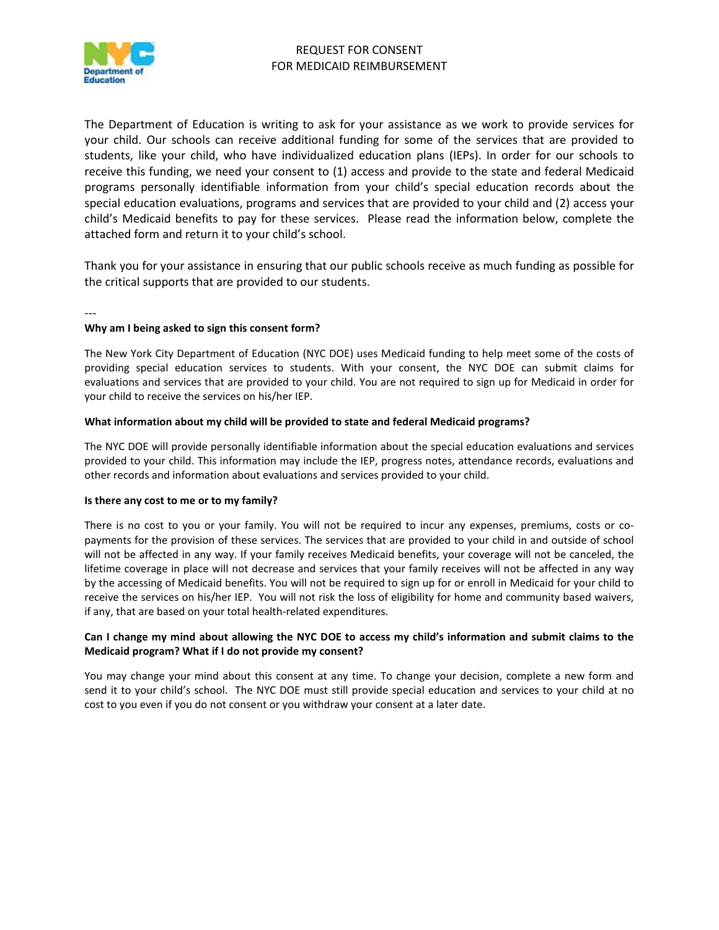

The Department of Education is writing to ask for your assistance as we work to provide services for your child. Our schools can receive additional funding for some of the services that are provided to students, like your child, who have individualized education plans (IEPs). In order for our schools to receive this funding, we need your consent to (1) access and provide to the state and federal Medicaid programs personally identifiable information from your child's special education records about the special education evaluations, programs and services that are provided to your child and (2) access your child's Medicaid benefits to pay for these services. Please read the information below, complete the attached form and return it to your child's school.

Thank you for your assistance in ensuring that our public schools receive as much funding as possible for the critical supports that are provided to our students.

---

## **Why am I being asked to sign this consent form?**

The New York City Department of Education (NYC DOE) uses Medicaid funding to help meet some of the costs of providing special education services to students. With your consent, the NYC DOE can submit claims for evaluations and services that are provided to your child. You are not required to sign up for Medicaid in order for your child to receive the services on his/her IEP.

## **What information about my child will be provided to state and federal Medicaid programs?**

The NYC DOE will provide personally identifiable information about the special education evaluations and services provided to your child. This information may include the IEP, progress notes, attendance records, evaluations and other records and information about evaluations and services provided to your child.

## **Is there any cost to me or to my family?**

There is no cost to you or your family. You will not be required to incur any expenses, premiums, costs or copayments for the provision of these services. The services that are provided to your child in and outside of school will not be affected in any way. If your family receives Medicaid benefits, your coverage will not be canceled, the lifetime coverage in place will not decrease and services that your family receives will not be affected in any way by the accessing of Medicaid benefits. You will not be required to sign up for or enroll in Medicaid for your child to receive the services on his/her IEP. You will not risk the loss of eligibility for home and community based waivers, if any, that are based on your total health-related expenditures.

## **Can I change my mind about allowing the NYC DOE to access my child's information and submit claims to the Medicaid program? What if I do not provide my consent?**

You may change your mind about this consent at any time. To change your decision, complete a new form and send it to your child's school. The NYC DOE must still provide special education and services to your child at no cost to you even if you do not consent or you withdraw your consent at a later date.